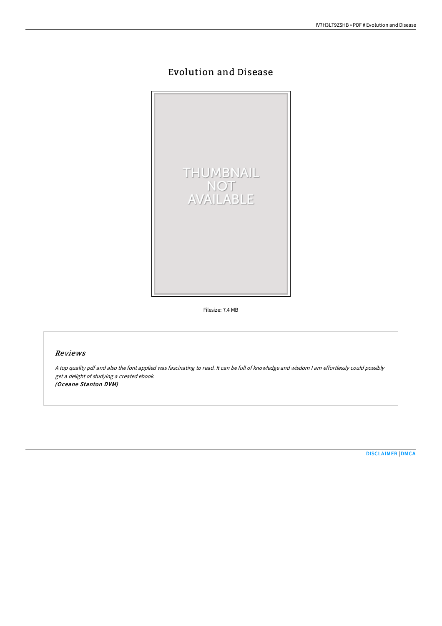## Evolution and Disease



Filesize: 7.4 MB

## Reviews

<sup>A</sup> top quality pdf and also the font applied was fascinating to read. It can be full of knowledge and wisdom <sup>I</sup> am effortlessly could possibly get <sup>a</sup> delight of studying <sup>a</sup> created ebook. (Oceane Stanton DVM)

[DISCLAIMER](http://albedo.media/disclaimer.html) | [DMCA](http://albedo.media/dmca.html)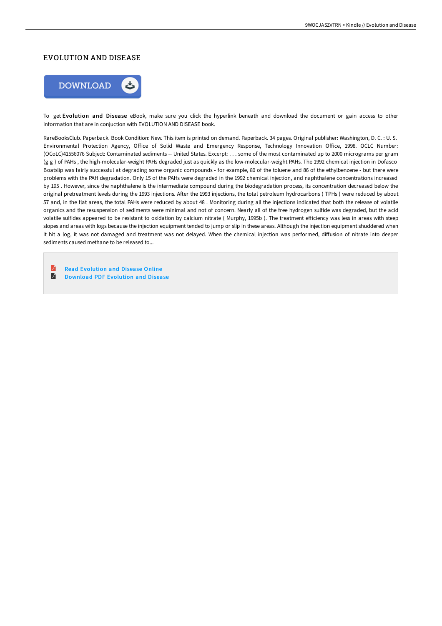## EVOLUTION AND DISEASE



To get Evolution and Disease eBook, make sure you click the hyperlink beneath and download the document or gain access to other information that are in conjuction with EVOLUTION AND DISEASE book.

RareBooksClub. Paperback. Book Condition: New. This item is printed on demand. Paperback. 34 pages. Original publisher: Washington, D. C. : U. S. Environmental Protection Agency, Office of Solid Waste and Emergency Response, Technology Innovation Office, 1998. OCLC Number: (OCoLC)41556076 Subject: Contaminated sediments -- United States. Excerpt: . . . some of the most contaminated up to 2000 micrograms per gram (g g ) of PAHs , the high-molecular-weight PAHs degraded just as quickly as the low-molecular-weight PAHs. The 1992 chemical injection in Dofasco Boatslip was fairly successful at degrading some organic compounds - for example, 80 of the toluene and 86 of the ethylbenzene - but there were problems with the PAH degradation. Only 15 of the PAHs were degraded in the 1992 chemical injection, and naphthalene concentrations increased by 195 . However, since the naphthalene is the intermediate compound during the biodegradation process, its concentration decreased below the original pretreatment levels during the 1993 injections. AHer the 1993 injections, the total petroleum hydrocarbons ( TPHs ) were reduced by about 57 and, in the flat areas, the total PAHs were reduced by about 48 . Monitoring during all the injections indicated that both the release of volatile organics and the resuspension of sediments were minimal and not of concern. Nearly all of the free hydrogen sulfide was degraded, but the acid volatile sulfides appeared to be resistant to oxidation by calcium nitrate (Murphy, 1995b). The treatment efficiency was less in areas with steep slopes and areas with logs because the injection equipment tended to jump or slip in these areas. Although the injection equipment shuddered when it hit a log, it was not damaged and treatment was not delayed. When the chemical injection was performed, diffusion of nitrate into deeper sediments caused methane to be released to...

R Read [Evolution](http://albedo.media/evolution-and-disease.html) and Disease Online  $\blacksquare$ [Download](http://albedo.media/evolution-and-disease.html) PDF Evolution and Disease